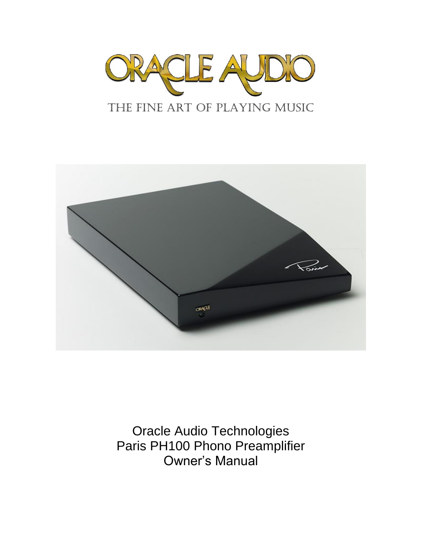



Oracle Audio Technologies Paris PH100 Phono Preamplifier Owner's Manual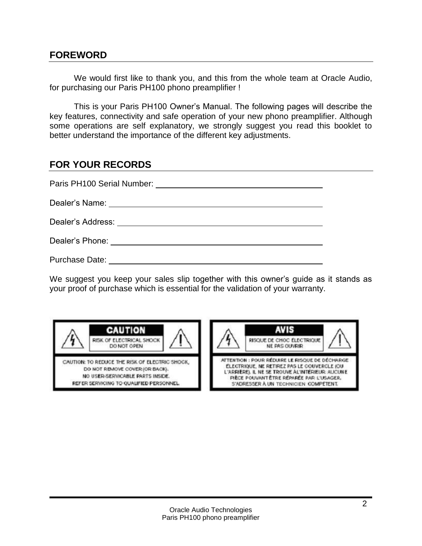### **FOREWORD**

We would first like to thank you, and this from the whole team at Oracle Audio, for purchasing our Paris PH100 phono preamplifier !

This is your Paris PH100 Owner's Manual. The following pages will describe the key features, connectivity and safe operation of your new phono preamplifier. Although some operations are self explanatory, we strongly suggest you read this booklet to better understand the importance of the different key adjustments.

### **FOR YOUR RECORDS**

| Paris PH100 Serial Number:   |
|------------------------------|
|                              |
|                              |
| Dealer's Phone: ____________ |
| <b>Purchase Date:</b>        |

We suggest you keep your sales slip together with this owner's guide as it stands as your proof of purchase which is essential for the validation of your warranty.



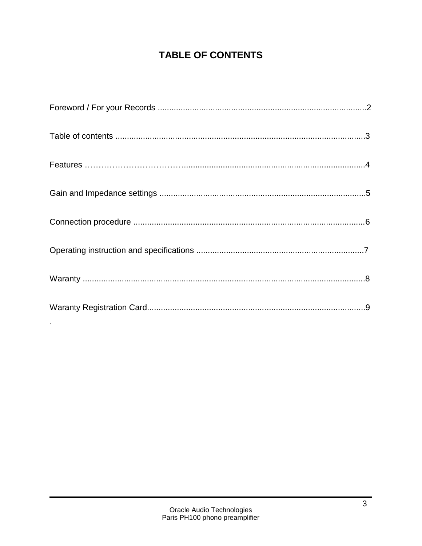# **TABLE OF CONTENTS**

 $\blacksquare$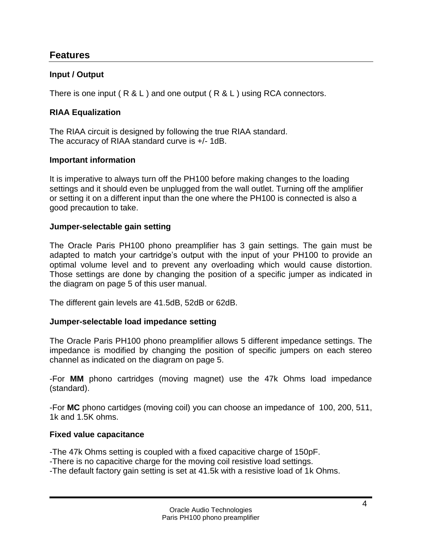### **Features**

### **Input / Output**

There is one input ( $R & L$ ) and one output ( $R & L$ ) using RCA connectors.

#### **RIAA Equalization**

The RIAA circuit is designed by following the true RIAA standard. The accuracy of RIAA standard curve is +/- 1dB.

#### **Important information**

It is imperative to always turn off the PH100 before making changes to the loading settings and it should even be unplugged from the wall outlet. Turning off the amplifier or setting it on a different input than the one where the PH100 is connected is also a good precaution to take.

#### **Jumper-selectable gain setting**

The Oracle Paris PH100 phono preamplifier has 3 gain settings. The gain must be adapted to match your cartridge's output with the input of your PH100 to provide an optimal volume level and to prevent any overloading which would cause distortion. Those settings are done by changing the position of a specific jumper as indicated in the diagram on page 5 of this user manual.

The different gain levels are 41.5dB, 52dB or 62dB.

#### **Jumper-selectable load impedance setting**

The Oracle Paris PH100 phono preamplifier allows 5 different impedance settings. The impedance is modified by changing the position of specific jumpers on each stereo channel as indicated on the diagram on page 5.

-For **MM** phono cartridges (moving magnet) use the 47k Ohms load impedance (standard).

-For **MC** phono cartidges (moving coil) you can choose an impedance of 100, 200, 511, 1k and 1.5K ohms.

#### **Fixed value capacitance**

-The 47k Ohms setting is coupled with a fixed capacitive charge of 150pF.

-There is no capacitive charge for the moving coil resistive load settings.

-The default factory gain setting is set at 41.5k with a resistive load of 1k Ohms.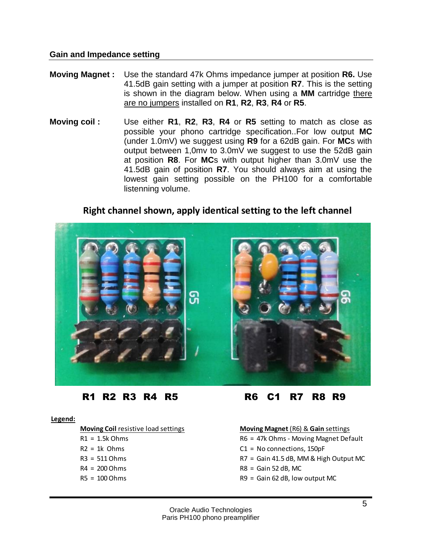#### **Gain and Impedance setting**

- **Moving Magnet :** Use the standard 47k Ohms impedance jumper at position **R6.** Use 41.5dB gain setting with a jumper at position **R7**. This is the setting is shown in the diagram below. When using a **MM** cartridge there are no jumpers installed on **R1**, **R2**, **R3**, **R4** or **R5**.
- **Moving coil :** Use either **R1**, **R2**, **R3**, **R4** or **R5** setting to match as close as possible your phono cartridge specification..For low output **MC**  (under 1.0mV) we suggest using **R9** for a 62dB gain. For **MC**s with output between 1,0mv to 3.0mV we suggest to use the 52dB gain at position **R8**. For **MC**s with output higher than 3.0mV use the 41.5dB gain of position **R7**. You should always aim at using the lowest gain setting possible on the PH100 for a comfortable listenning volume.

### **Right channel shown, apply identical setting to the left channel**



#### **Legend:**

- 
- 
- 
- 
- 

R1 R2 R3 R4 R5 R6 C1 R7 R8 R9

#### **Moving Coil** resistive load settings **Moving Magnet** (R6) & **Gain** settings

R1 = 1.5k Ohms **R6** = 47k Ohms - Moving Magnet Default

- R2 = 1k Ohms C1 = No connections, 150pF
- R3 = 511 Ohms R7 = Gain 41.5 dB, MM & High Output MC
- $R4 = 200$  Ohms R8 = Gain 52 dB, MC
- R5 = 100 Ohms R9 = Gain 62 dB, low output MC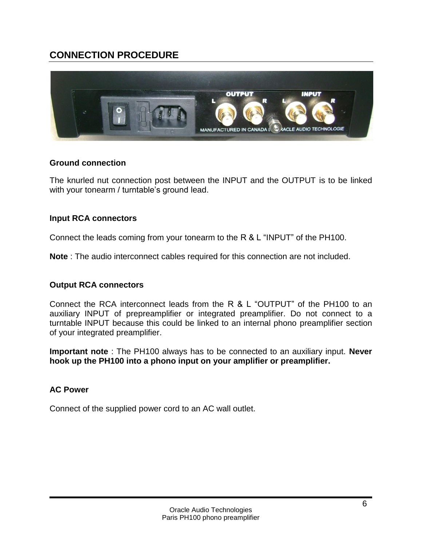## **CONNECTION PROCEDURE**



#### **Ground connection**

The knurled nut connection post between the INPUT and the OUTPUT is to be linked with your tonearm / turntable's ground lead.

### **Input RCA connectors**

Connect the leads coming from your tonearm to the R & L "INPUT" of the PH100.

**Note** : The audio interconnect cables required for this connection are not included.

#### **Output RCA connectors**

Connect the RCA interconnect leads from the R & L "OUTPUT" of the PH100 to an auxiliary INPUT of prepreamplifier or integrated preamplifier. Do not connect to a turntable INPUT because this could be linked to an internal phono preamplifier section of your integrated preamplifier.

**Important note** : The PH100 always has to be connected to an auxiliary input. **Never hook up the PH100 into a phono input on your amplifier or preamplifier.**

#### **AC Power**

Connect of the supplied power cord to an AC wall outlet.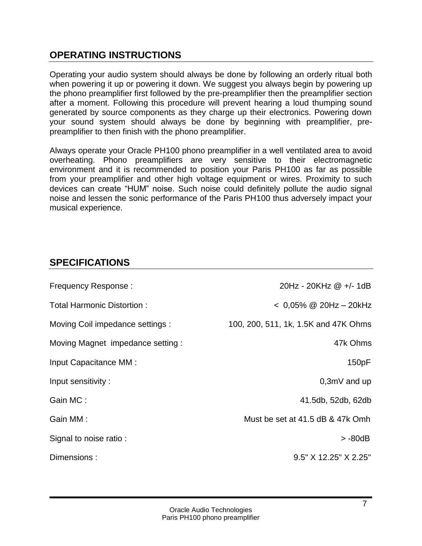## **OPERATING INSTRUCTIONS**

Operating your audio system should always be done by following an orderly ritual both when powering it up or powering it down. We suggest you always begin by powering up the phono preamplifier first followed by the pre-preamplifier then the preamplifier section after a moment. Following this procedure will prevent hearing a loud thumping sound generated by source components as they charge up their electronics. Powering down your sound system should always be done by beginning with preamplifier, prepreamplifier to then finish with the phono preamplifier.

Always operate your Oracle PH100 phono preamplifier in a well ventilated area to avoid overheating. Phono preamplifiers are very sensitive to their electromagnetic environment and it is recommended to position your Paris PH100 as far as possible from your preamplifier and other high voltage equipment or wires. Proximity to such devices can create "HUM" noise. Such noise could definitely pollute the audio signal noise and lessen the sonic performance of the Paris PH100 thus adversely impact your musical experience.

## **SPECIFICATIONS**

| <b>Frequency Response:</b>       | 20Hz - 20KHz @ +/- 1dB               |
|----------------------------------|--------------------------------------|
| Total Harmonic Distortion:       | $< 0.05\%$ @ 20Hz $-$ 20kHz          |
| Moving Coil impedance settings : | 100, 200, 511, 1k, 1.5K and 47K Ohms |
| Moving Magnet impedance setting: | 47k Ohms                             |
| Input Capacitance MM :           | 150pF                                |
| Input sensitivity:               | $0,3mV$ and up                       |
| Gain MC:                         | 41.5db, 52db, 62db                   |
| Gain MM:                         | Must be set at 41.5 dB & 47k Omh     |
| Signal to noise ratio:           | > -80dB                              |
| Dimensions:                      | $9.5"$ X 12.25" X 2.25"              |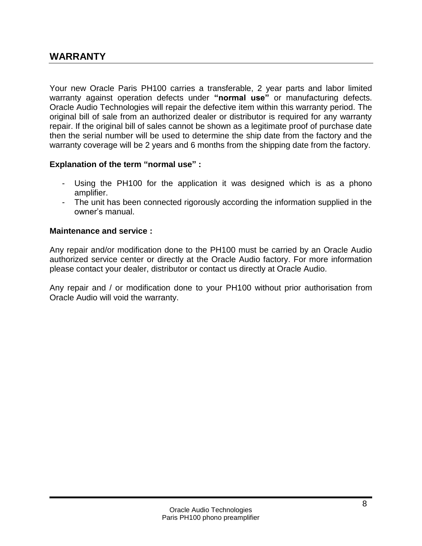## **WARRANTY**

Your new Oracle Paris PH100 carries a transferable, 2 year parts and labor limited warranty against operation defects under **"normal use"** or manufacturing defects. Oracle Audio Technologies will repair the defective item within this warranty period. The original bill of sale from an authorized dealer or distributor is required for any warranty repair. If the original bill of sales cannot be shown as a legitimate proof of purchase date then the serial number will be used to determine the ship date from the factory and the warranty coverage will be 2 years and 6 months from the shipping date from the factory.

#### **Explanation of the term "normal use" :**

- Using the PH100 for the application it was designed which is as a phono amplifier.
- The unit has been connected rigorously according the information supplied in the owner's manual.

#### **Maintenance and service :**

Any repair and/or modification done to the PH100 must be carried by an Oracle Audio authorized service center or directly at the Oracle Audio factory. For more information please contact your dealer, distributor or contact us directly at Oracle Audio.

Any repair and / or modification done to your PH100 without prior authorisation from Oracle Audio will void the warranty.